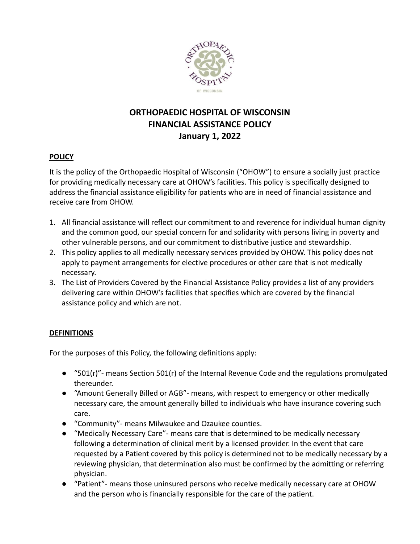

# **ORTHOPAEDIC HOSPITAL OF WISCONSIN FINANCIAL ASSISTANCE POLICY January 1, 2022**

## **POLICY**

It is the policy of the Orthopaedic Hospital of Wisconsin ("OHOW") to ensure a socially just practice for providing medically necessary care at OHOW's facilities. This policy is specifically designed to address the financial assistance eligibility for patients who are in need of financial assistance and receive care from OHOW.

- 1. All financial assistance will reflect our commitment to and reverence for individual human dignity and the common good, our special concern for and solidarity with persons living in poverty and other vulnerable persons, and our commitment to distributive justice and stewardship.
- 2. This policy applies to all medically necessary services provided by OHOW. This policy does not apply to payment arrangements for elective procedures or other care that is not medically necessary.
- 3. The List of Providers Covered by the Financial Assistance Policy provides a list of any providers delivering care within OHOW's facilities that specifies which are covered by the financial assistance policy and which are not.

# **DEFINITIONS**

For the purposes of this Policy, the following definitions apply:

- "501(r)"- means Section 501(r) of the Internal Revenue Code and the regulations promulgated thereunder.
- "Amount Generally Billed or AGB"- means, with respect to emergency or other medically necessary care, the amount generally billed to individuals who have insurance covering such care.
- "Community"- means Milwaukee and Ozaukee counties.
- "Medically Necessary Care"- means care that is determined to be medically necessary following a determination of clinical merit by a licensed provider. In the event that care requested by a Patient covered by this policy is determined not to be medically necessary by a reviewing physician, that determination also must be confirmed by the admitting or referring physician.
- "Patient"- means those uninsured persons who receive medically necessary care at OHOW and the person who is financially responsible for the care of the patient.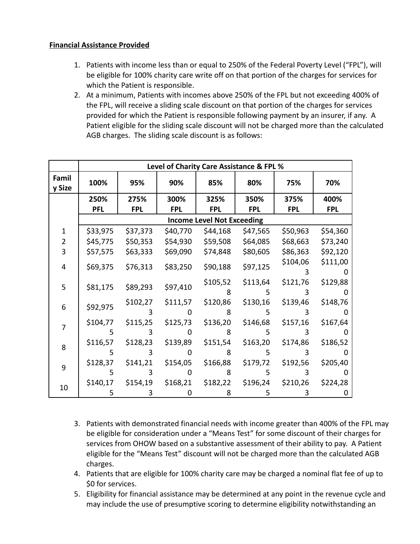#### **Financial Assistance Provided**

- 1. Patients with income less than or equal to 250% of the Federal Poverty Level ("FPL"), will be eligible for 100% charity care write off on that portion of the charges for services for which the Patient is responsible.
- 2. At a minimum, Patients with incomes above 250% of the FPL but not exceeding 400% of the FPL, will receive a sliding scale discount on that portion of the charges for services provided for which the Patient is responsible following payment by an insurer, if any. A Patient eligible for the sliding scale discount will not be charged more than the calculated AGB charges. The sliding scale discount is as follows:

|                 | Level of Charity Care Assistance & FPL % |            |            |            |            |            |            |
|-----------------|------------------------------------------|------------|------------|------------|------------|------------|------------|
| Famil<br>y Size | 100%                                     | 95%        | 90%        | 85%        | 80%        | 75%        | 70%        |
|                 | 250%                                     | 275%       | 300%       | 325%       | 350%       | 375%       | 400%       |
|                 | <b>PFL</b>                               | <b>FPL</b> | <b>FPL</b> | <b>FPL</b> | <b>FPL</b> | <b>FPL</b> | <b>FPL</b> |
|                 | <b>Income Level Not Exceeding</b>        |            |            |            |            |            |            |
| $\mathbf{1}$    | \$33,975                                 | \$37,373   | \$40,770   | \$44,168   | \$47,565   | \$50,963   | \$54,360   |
| $\overline{2}$  | \$45,775                                 | \$50,353   | \$54,930   | \$59,508   | \$64,085   | \$68,663   | \$73,240   |
| 3               | \$57,575                                 | \$63,333   | \$69,090   | \$74,848   | \$80,605   | \$86,363   | \$92,120   |
| 4               | \$69,375                                 | \$76,313   | \$83,250   | \$90,188   | \$97,125   | \$104,06   | \$111,00   |
|                 |                                          |            |            |            |            | 3          |            |
| 5               | \$81,175                                 | \$89,293   | \$97,410   | \$105,52   | \$113,64   | \$121,76   | \$129,88   |
|                 |                                          |            |            | 8          |            |            |            |
| 6               | \$92,975                                 | \$102,27   | \$111,57   | \$120,86   | \$130,16   | \$139,46   | \$148,76   |
|                 |                                          |            |            | 8          | 5          | З          |            |
| 7               | \$104,77                                 | \$115,25   | \$125,73   | \$136,20   | \$146,68   | \$157,16   | \$167,64   |
|                 | 5                                        | 3          |            | 8          | 5          | 3          |            |
| 8               | \$116,57                                 | \$128,23   | \$139,89   | \$151,54   | \$163,20   | \$174,86   | \$186,52   |
|                 | 5                                        |            |            | 8          | 5          | 3          |            |
| 9               | \$128,37                                 | \$141,21   | \$154,05   | \$166,88   | \$179,72   | \$192,56   | \$205,40   |
|                 | 5                                        | 3          |            | 8          | 5          | 3          |            |
| 10              | \$140,17                                 | \$154,19   | \$168,21   | \$182,22   | \$196,24   | \$210,26   | \$224,28   |
|                 | 5                                        |            |            | 8          | 5          |            |            |

- 3. Patients with demonstrated financial needs with income greater than 400% of the FPL may be eligible for consideration under a "Means Test" for some discount of their charges for services from OHOW based on a substantive assessment of their ability to pay. A Patient eligible for the "Means Test" discount will not be charged more than the calculated AGB charges.
- 4. Patients that are eligible for 100% charity care may be charged a nominal flat fee of up to \$0 for services.
- 5. Eligibility for financial assistance may be determined at any point in the revenue cycle and may include the use of presumptive scoring to determine eligibility notwithstanding an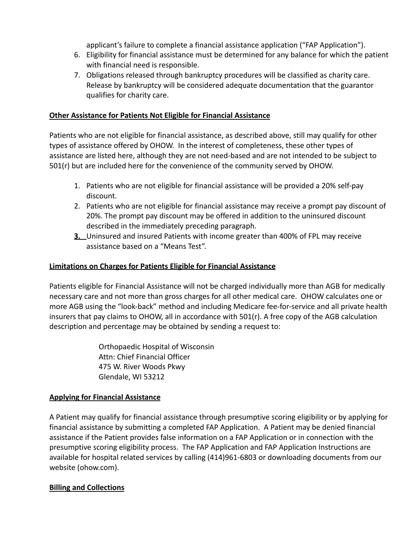applicant's failure to complete a financial assistance application ("FAP Application").

- 6. Eligibility for financial assistance must be determined for any balance for which the patient with financial need is responsible.
- 7. Obligations released through bankruptcy procedures will be classified as charity care. Release by bankruptcy will be considered adequate documentation that the guarantor qualifies for charity care.

#### **Other Assistance for Patients Not Eligible for Financial Assistance**

Patients who are not eligible for financial assistance, as described above, still may qualify for other types of assistance offered by OHOW. In the interest of completeness, these other types of assistance are listed here, although they are not need-based and are not intended to be subject to 501(r) but are included here for the convenience of the community served by OHOW.

- 1. Patients who are not eligible for financial assistance will be provided a 20% self-pay discount.
- 2. Patients who are not eligible for financial assistance may receive a prompt pay discount of 20%. The prompt pay discount may be offered in addition to the uninsured discount described in the immediately preceding paragraph.
- **3.** Uninsured and insured Patients with income greater than 400% of FPL may receive assistance based on a "Means Test".

## **Limitations on Charges for Patients Eligible for Financial Assistance**

Patients eligible for Financial Assistance will not be charged individually more than AGB for medically necessary care and not more than gross charges for all other medical care. OHOW calculates one or more AGB using the "look-back" method and including Medicare fee-for-service and all private health insurers that pay claims to OHOW, all in accordance with  $501(r)$ . A free copy of the AGB calculation description and percentage may be obtained by sending a request to:

> Orthopaedic Hospital of Wisconsin Attn: Chief Financial Officer 475 W. River Woods Pkwy Glendale, WI 53212

# **Applying for Financial Assistance**

A Patient may qualify for financial assistance through presumptive scoring eligibility or by applying for financial assistance by submitting a completed FAP Application. A Patient may be denied financial assistance if the Patient provides false information on a FAP Application or in connection with the presumptive scoring eligibility process. The FAP Application and FAP Application Instructions are available for hospital related services by calling (414)961-6803 or downloading documents from our website (ohow.com).

#### **Billing and Collections**